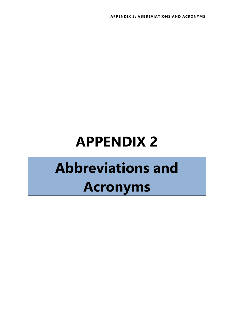## **APPENDIX 2**

## **Abbreviations and Acronyms**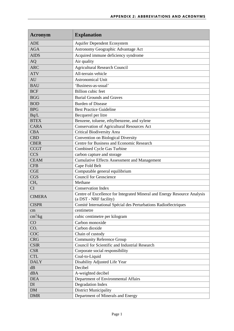| Acronym                 | <b>Explanation</b>                                                                                 |
|-------------------------|----------------------------------------------------------------------------------------------------|
| <b>ADE</b>              | <b>Aquifer Dependent Ecosystem</b>                                                                 |
| <b>AGA</b>              | Astronomy Geographic Advantage Act                                                                 |
| <b>AIDS</b>             | Acquired immune deficiency syndrome                                                                |
| <b>AQ</b>               | Air quality                                                                                        |
| <b>ARC</b>              | <b>Agricultural Research Council</b>                                                               |
| <b>ATV</b>              | All-terrain vehicle                                                                                |
| AU                      | <b>Astronomical Unit</b>                                                                           |
| <b>BAU</b>              | 'Business-as-usual'                                                                                |
| <b>BCF</b>              | <b>Billion</b> cubic feet                                                                          |
| <b>BGG</b>              | <b>Burial Grounds and Graves</b>                                                                   |
| <b>BOD</b>              | <b>Burden of Disease</b>                                                                           |
| <b>BPG</b>              | <b>Best Practice Guideline</b>                                                                     |
| Bq/L                    | Becquerel per litre                                                                                |
| <b>BTEX</b>             | Benzene, toluene, ethylbenzene, and xylene                                                         |
| <b>CARA</b>             | <b>Conservation of Agricultural Resources Act</b>                                                  |
| <b>CBA</b>              | <b>Critical Biodiversity Area</b>                                                                  |
| <b>CBD</b>              | Convention on Biological Diversity                                                                 |
| <b>CBER</b>             | Centre for Business and Economic Research                                                          |
| <b>CCGT</b>             | Combined Cycle Gas Turbine                                                                         |
| <b>CCS</b>              | carbon capture and storage                                                                         |
| <b>CEAM</b>             | <b>Cumulative Effects Assessment and Management</b>                                                |
| <b>CFB</b>              | Cape Fold Belt                                                                                     |
| <b>CGE</b>              | Computable general equilibrium                                                                     |
| <b>CGS</b>              | Council for Geoscience                                                                             |
| CH <sub>4</sub>         | Methane                                                                                            |
| CI                      | <b>Conservation Index</b>                                                                          |
| <b>CIMERA</b>           | Centre of Excellence for Integrated Mineral and Energy Resource Analysis<br>(a DST - NRF facility) |
| <b>CISPR</b>            | Comité International Spécial des Perturbations Radioélectriques                                    |
| $\rm cm$                | centimetre                                                                                         |
| $\text{cm}^3/\text{kg}$ | cubic centimetre per kilogram                                                                      |
| CO                      | Carbon monoxide                                                                                    |
| CO <sub>2</sub>         | Carbon dioxide                                                                                     |
| COC                     | Chain of custody                                                                                   |
| <b>CRG</b>              | <b>Community Reference Group</b>                                                                   |
| <b>CSIR</b>             | Council for Scientific and Industrial Research                                                     |
| <b>CSR</b>              | Corporate social responsibility                                                                    |
| <b>CTL</b>              | Coal-to-Liquid                                                                                     |
| <b>DALY</b>             | Disability Adjusted Life Year                                                                      |
| dB                      | Decibel                                                                                            |
| dBA                     | A-weighted decibel                                                                                 |
| <b>DEA</b>              | Department of Environmental Affairs                                                                |
| DI                      | Degradation Index                                                                                  |
| <b>DM</b>               | <b>District Municipality</b>                                                                       |
| <b>DMR</b>              | Department of Minerals and Energy                                                                  |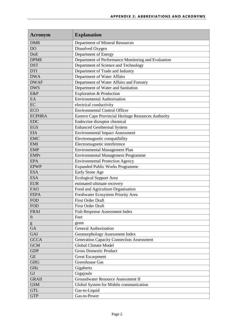| Acronym       | <b>Explanation</b>                                   |
|---------------|------------------------------------------------------|
| <b>DMR</b>    | Department of Mineral Resources                      |
| <b>DO</b>     | Dissolved Oxygen                                     |
| <b>DoE</b>    | Department of Energy                                 |
| <b>DPME</b>   | Department of Performance Monitoring and Evaluation  |
| <b>DST</b>    | Department of Science and Technology                 |
| <b>DTI</b>    | Department of Trade and Industry                     |
| <b>DWA</b>    | Department of Water Affairs                          |
| <b>DWAF</b>   | Department of Water Affairs and Forestry             |
| <b>DWS</b>    | Department of Water and Sanitation                   |
| E&P           | Exploration & Production                             |
| EA            | <b>Environmental Authorisation</b>                   |
| EC            | electrical conductivity                              |
| <b>ECO</b>    | <b>Environmental Control Officer</b>                 |
| <b>ECPHRA</b> | Eastern Cape Provincial Heritage Resources Authority |
| <b>EDC</b>    | Endocrine disruptor chemical                         |
| <b>EGS</b>    | <b>Enhanced Geothermal System</b>                    |
| <b>EIA</b>    | <b>Environmental Impact Assessment</b>               |
| <b>EMC</b>    | Electromagnetic compatibility                        |
| <b>EMI</b>    | Electromagnetic interference                         |
| <b>EMP</b>    | <b>Environmental Management Plan</b>                 |
| <b>EMPr</b>   | <b>Environmental Management Programme</b>            |
| <b>EPA</b>    | <b>Environmental Protection Agency</b>               |
| <b>EPWP</b>   | <b>Expanded Public Works Programme</b>               |
| <b>ESA</b>    | Early Stone Age                                      |
| <b>ESA</b>    | <b>Ecological Support Area</b>                       |
| <b>EUR</b>    | estimated ultimate recovery                          |
| <b>FAO</b>    | Food and Agriculture Organisation                    |
| <b>FEPA</b>   | Freshwater Ecosystem Priority Area                   |
| <b>FOD</b>    | <b>First Order Draft</b>                             |
| <b>FOD</b>    | First Order Draft                                    |
| <b>FRAI</b>   | Fish Response Assessment Index                       |
| ft            | Feet                                                 |
| g             | gram                                                 |
| <b>GA</b>     | <b>General Authorization</b>                         |
| <b>GAI</b>    | Geomorphology Assessment Index                       |
| <b>GCCA</b>   | <b>Generation Capacity Connection Assessment</b>     |
| <b>GCM</b>    | <b>Global Climate Model</b>                          |
| <b>GDP</b>    | <b>Gross Domestic Product</b>                        |
| <b>GE</b>     | <b>Great Escarpment</b>                              |
| <b>GHG</b>    | Greenhouse Gas                                       |
| GHz           | Gigahertz                                            |
| GJ            | Gigajoule                                            |
| <b>GRAII</b>  | <b>Groundwater Resource Assessment II</b>            |
| <b>GSM</b>    | Global System for Mobile communication               |
| <b>GTL</b>    | Gas-to-Liquid                                        |
| <b>GTP</b>    | Gas-to-Power                                         |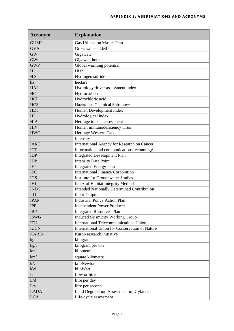| Acronym                | <b>Explanation</b>                                 |
|------------------------|----------------------------------------------------|
| <b>GUMP</b>            | <b>Gas Utilisation Master Plan</b>                 |
| <b>GVA</b>             | Gross value added                                  |
| <b>GW</b>              | Gigawatt                                           |
| GWh                    | Gigawatt hour                                      |
| <b>GWP</b>             | Global warming potential                           |
| H                      | High                                               |
| $H_2S$                 | Hydrogen sulfide                                   |
| ha                     | hectare                                            |
| HAI                    | Hydrology driver assessment index                  |
| HC                     | Hydrocarbon                                        |
| <b>HCl</b>             | Hydrochloric acid                                  |
| <b>HCS</b>             | Hazardous Chemical Substance                       |
| <b>HDI</b>             | Human Development Index                            |
| HI                     | Hydrological index                                 |
| <b>HIA</b>             | Heritage impact assessment                         |
| <b>HIV</b>             | Human immunodeficiency virus                       |
| <b>HWC</b>             | Heritage Western Cape                              |
| $\mathbf I$            | Intensity                                          |
| <b>IARC</b>            | International Agency for Research on Cancer        |
| <b>ICT</b>             | Information and communications technology          |
| <b>IDP</b>             | <b>Integrated Development Plan</b>                 |
| <b>IDP</b>             | <b>Intensity Data Point</b>                        |
| <b>IEP</b>             | <b>Integrated Energy Plan</b>                      |
| <b>IFC</b>             | <b>International Finance Corporation</b>           |
| <b>IGS</b>             | <b>Institute for Groundwater Studies</b>           |
| <b>IHI</b>             | Index of Habitat Integrity Method                  |
| <b>INDC</b>            | <b>Intended Nationally Determined Contribution</b> |
| $I-O$                  | Input-Output                                       |
| <b>IPAP</b>            | <b>Industrial Policy Action Plan</b>               |
| <b>IPP</b>             | <b>Independent Power Producer</b>                  |
| <b>IRP</b>             | <b>Integrated Resources Plan</b>                   |
| <b>ISWG</b>            | <b>Induced Seismicity Working Group</b>            |
| <b>ITU</b>             | <b>International Telecommunications Union</b>      |
| <b>IUCN</b>            | International Union for Conservation of Nature     |
| <b>KARIN</b>           | Karoo research initiative                          |
| kg                     | kilogram                                           |
| kg/t                   | kilogram per ton                                   |
| km                     | kilometre                                          |
| $km^2$                 | square kilometre                                   |
| kN                     | kiloNewton                                         |
| $\mathbf{k}\mathbf{W}$ | kiloWatt                                           |
| $\mathbf{L}$           | Low or litre                                       |
| L/d                    | litre per day                                      |
| L/s                    | litre per second                                   |
| <b>LADA</b>            | Land Degradation Assessment in Drylands            |
| <b>LCA</b>             | Life-cycle assessment                              |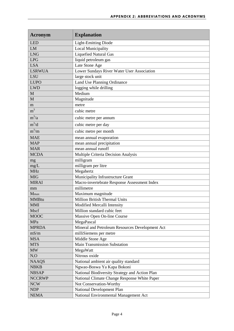| Acronym        | <b>Explanation</b>                              |
|----------------|-------------------------------------------------|
| <b>LED</b>     | <b>Light-Emitting Diode</b>                     |
| LM             | <b>Local Municipality</b>                       |
| <b>LNG</b>     | <b>Liquefied Natural Gas</b>                    |
| <b>LPG</b>     | liquid petroleum gas                            |
| <b>LSA</b>     | Late Stone Age                                  |
| <b>LSRWUA</b>  | Lower Sundays River Water User Association      |
| <b>LSU</b>     | large stock unit                                |
| <b>LUPO</b>    | Land Use Planning Ordinance                     |
| <b>LWD</b>     | logging while drilling                          |
| M              | Medium                                          |
| M              | Magnitude                                       |
| m              | metre                                           |
| m <sup>3</sup> | cubic metre                                     |
| $m^3/a$        | cubic metre per annum                           |
| $m^3/d$        | cubic metre per day                             |
| $m^3/m$        | cubic metre per month                           |
| <b>MAE</b>     | mean annual evaporation                         |
| <b>MAP</b>     | mean annual precipitation                       |
| <b>MAR</b>     | mean annual runoff                              |
| <b>MCDA</b>    | Multiple Criteria Decision Analysis             |
| mg             | milligram                                       |
| mg/L           | milligram per litre                             |
| <b>MHz</b>     | Megahertz                                       |
| <b>MIG</b>     | Municipality Infrastructure Grant               |
| <b>MIRAI</b>   | Macro-invertebrate Response Assessment Index    |
| mm             | millimetre                                      |
| Mmax           | Maximum magnitude                               |
| <b>MMBtu</b>   | Million British Thermal Units                   |
| <b>MMI</b>     | Modified Mercalli Intensity                     |
| Mscf           | Million standard cubic feet                     |
| <b>MOOC</b>    | Massive Open On-line Course                     |
| MPa            | MegaPascal                                      |
| <b>MPRDA</b>   | Mineral and Petroleum Resources Development Act |
| mS/m           | milliSiemens per metre                          |
| <b>MSA</b>     | Middle Stone Age                                |
| <b>MTS</b>     | <b>Main Transmission Substation</b>             |
| <b>MW</b>      | MegaWatt                                        |
| $N_2O$         | Nitrous oxide                                   |
| <b>NAAQS</b>   | National ambient air quality standard           |
| <b>NBKB</b>    | Ngwao-Boswa Ya Kapa Bokoni                      |
| <b>NBSAP</b>   | National Biodiversity Strategy and Action Plan  |
| <b>NCCRWP</b>  | National Climate Change Response White Paper    |
| <b>NCW</b>     | Not Conservation-Worthy                         |
| NDP            | National Development Plan                       |
| <b>NEMA</b>    | National Environmental Management Act           |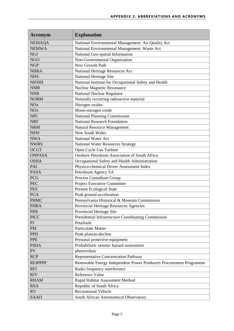| Acronym                | <b>Explanation</b>                                                 |
|------------------------|--------------------------------------------------------------------|
| <b>NEMAQA</b>          | National Environmental Management: Air Quality Act                 |
| <b>NEMWA</b>           | National Environmental Management: Waste Act                       |
| <b>NGI</b>             | National Geo-spatial Information                                   |
| <b>NGO</b>             | Non-Governmental Organisation                                      |
| <b>NGP</b>             | New Growth Path                                                    |
| <b>NHRA</b>            | National Heritage Resources Act                                    |
| <b>NHS</b>             | <b>National Heritage Site</b>                                      |
| <b>NIOSH</b>           | National Institute for Occupational Safety and Health              |
| <b>NMR</b>             | <b>Nuclear Magnetic Resonance</b>                                  |
| <b>NNR</b>             | National Nuclear Regulator                                         |
| <b>NORM</b>            | Naturally occurring radioactive material                           |
| <b>NO<sub>x</sub></b>  | Nitrogen oxides                                                    |
| <b>NO</b> <sub>x</sub> | Mono-nitrogen oxide                                                |
| <b>NPC</b>             | <b>National Planning Commission</b>                                |
| <b>NRF</b>             | <b>National Research Foundation</b>                                |
| <b>NRM</b>             | <b>Natural Resource Management</b>                                 |
| <b>NSW</b>             | <b>New South Wales</b>                                             |
| <b>NWA</b>             | <b>National Water Act</b>                                          |
| <b>NWRS</b>            | <b>National Water Resources Strategy</b>                           |
| <b>OCGT</b>            | Open Cycle Gas Turbine                                             |
| <b>ONPASA</b>          | <b>Onshore Petroleum Association of South Africa</b>               |
| <b>OSHA</b>            | Occupational Safety and Health Administration                      |
| PAI                    | Physico-chemical Driver Assessment Index                           |
| <b>PASA</b>            | Petroleum Agency SA                                                |
| <b>PCG</b>             | Process Custodians Group                                           |
| <b>PEC</b>             | Project Executive Committee                                        |
| <b>PES</b>             | <b>Present Ecological State</b>                                    |
| <b>PGA</b>             | Peak ground acceleration                                           |
| <b>PHMC</b>            | Pennsylvania Historical & Museum Commission                        |
| <b>PHRA</b>            | Provincial Heritage Resources Agencies                             |
| <b>PHS</b>             | Provincial Heritage Site                                           |
| <b>PICC</b>            | Presidential Infrastructure Coordinating Commission                |
| P                      | PetaJoule                                                          |
| <b>PM</b>              | <b>Particulate Matter</b>                                          |
| <b>PPD</b>             | Peak-plateau-decline                                               |
| <b>PPE</b>             | Personal protective equipment                                      |
| <b>PSHA</b>            | Probabilistic seismic hazard assessment                            |
| PV                     | photovoltaic                                                       |
| <b>RCP</b>             | Representative Concentration Pathway                               |
| <b>REIPPPP</b>         | Renewable Energy Independent Power Producers Procurement Programme |
| <b>RFI</b>             | Radio frequency interference                                       |
| <b>RfV</b>             | Reference Value                                                    |
| <b>RHAM</b>            | Rapid Habitat Assessment Method                                    |
| <b>RSA</b>             | Republic of South Africa                                           |
| <b>RV</b>              | <b>Recreational Vehicle</b>                                        |
| <b>SAAO</b>            | South African Astronomical Observatory                             |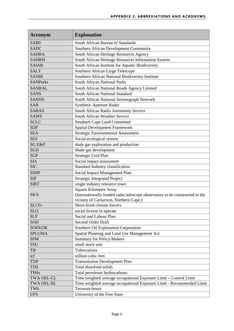| Acronym           | <b>Explanation</b>                                                           |
|-------------------|------------------------------------------------------------------------------|
| <b>SABS</b>       | South African Bureau of Standards                                            |
| <b>SADC</b>       | Southern African Development Community                                       |
| <b>SAHRA</b>      | South African Heritage Resources Agency                                      |
| <b>SAHRIS</b>     | South African Heritage Resources Information System                          |
| <b>SAIAB</b>      | South African Institute for Aquatic Biodiversity                             |
| <b>SALT</b>       | Southern African Large Telescope                                             |
| <b>SANBI</b>      | Southern African National Biodiversity Institute                             |
| <b>SANParks</b>   | <b>South African National Parks</b>                                          |
| <b>SANRAL</b>     | South African National Roads Agency Limited                                  |
| <b>SANS</b>       | South African National Standard                                              |
| <b>SANSN</b>      | South African National Seismograph Network                                   |
| <b>SAR</b>        | Synthetic Aperture Radar                                                     |
| <b>SARAS</b>      | South African Radio Astronomy Service                                        |
| <b>SAWS</b>       | South African Weather Service                                                |
| <b>SCLC</b>       | Southern Cape Land Committee                                                 |
| <b>SDF</b>        | <b>Spatial Development Framework</b>                                         |
| <b>SEA</b>        | <b>Strategic Environmental Assessment</b>                                    |
| <b>SES</b>        | Social-ecological system                                                     |
| <b>SG E&amp;P</b> | shale gas exploration and production                                         |
| <b>SGD</b>        | Shale gas development                                                        |
| <b>SGP</b>        | Strategic Grid Plan                                                          |
| <b>SIA</b>        | Social impact assessment                                                     |
| <b>SIC</b>        | Standard Industry classification                                             |
| <b>SIMP</b>       | Social Impact Management Plan                                                |
| <b>SIP</b>        | <b>Strategic Integrated Project</b>                                          |
| <b>SIRT</b>       | single industry resource town                                                |
|                   | <b>Square Kilometre Array</b>                                                |
| <b>SKA</b>        | (Internationally funded radio telescope observatory to be constructed in the |
|                   | vicinity of Carnarvon, Northern Cape.)                                       |
| <b>SLCFs</b>      | Short-lived climate forcers                                                  |
| <b>SLO</b>        | social license to operate                                                    |
| <b>SLP</b>        | Social and Labour Plan                                                       |
| <b>SOD</b>        | <b>Second Order Draft</b>                                                    |
| <b>SOEKOR</b>     | Southern Oil Exploration Corporation                                         |
| <b>SPLUMA</b>     | Spatial Planning and Land Use Management Act                                 |
| <b>SPM</b>        | <b>Summary for Policy-Makers</b>                                             |
| SSU               | small stock unit                                                             |
| $\rm{TB}$         | Tuberculosis                                                                 |
| tcf               | trillion cubic feet                                                          |
| <b>TDP</b>        | <b>Transmission Development Plan</b>                                         |
| <b>TDS</b>        | Total dissolved solids                                                       |
| <b>TPHs</b>       | Total petroleum hydrocarbons                                                 |
| <b>TWA OEL-CL</b> | Time weighted average occupational Exposure Limit - Control Limit            |
| <b>TWA OEL-RL</b> | Time weighted average occupational Exposure Limit - Recommended Limit        |
| TWh               | Terawatt-hours                                                               |
| <b>UFS</b>        | University of the Free State                                                 |